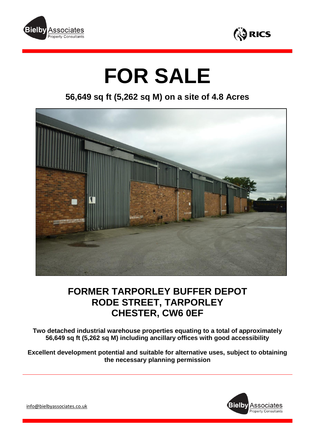



# **FOR SALE**

**56,649 sq ft (5,262 sq M) on a site of 4.8 Acres**



# **FORMER TARPORLEY BUFFER DEPOT RODE STREET, TARPORLEY CHESTER, CW6 0EF**

**Two detached industrial warehouse properties equating to a total of approximately 56,649 sq ft (5,262 sq M) including ancillary offices with good accessibility**

**Excellent development potential and suitable for alternative uses, subject to obtaining the necessary planning permission**



[info@bielbyassociates.co.uk](mailto:info@bielbyassociates.co.uk)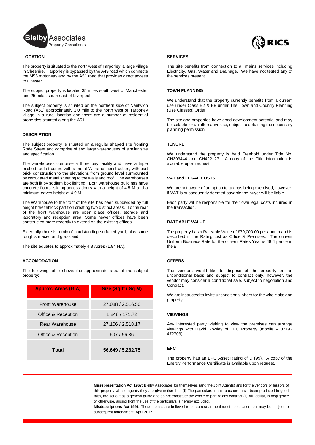

#### **LOCATION**

The property is situated to the north west of Tarporley, a large village in Cheshire. Tarporley is bypassed by the A49 road which connects the M56 motorway and by the A51 road that provides direct access to Chester

The subject property is located 35 miles south west of Manchester and 25 miles south east of Liverpool.

The subject property is situated on the northern side of Nantwich Road (A51) approximately 1.0 mile to the north west of Tarporley village in a rural location and there are a number of residential properties situated along the A51.

#### **DESCRIPTION**

The subject property is situated on a regular shaped site fronting Rode Street and comprise of two large warehouses of similar size and specification.

The warehouses comprise a three bay facility and have a triple pitched roof structure with a metal 'A frame' construction, with part brick construction to the elevations from ground level surmounted by corrugated metal sheeting to the walls and roof. The warehouses are both lit by sodium box lighting. Both warehouse buildings have concrete floors, sliding access doors with a height of 4.5 M and a minimum eaves height of 4.9 M.

The Warehouse to the front of the site has been subdivided by full height breezeblock partition creating two distinct areas. To the rear of the front warehouse are open place offices, storage and laboratory and reception area. Some newer offices have been constructed more recently to extend on the existing offices

Externally there is a mix of hardstanding surfaced yard, plus some rough surfaced and grassland.

The site equates to approximately 4.8 Acres (1.94 HA).

#### **ACCOMODATION**

The following table shows the approximate area of the subject property:

| <b>Approx. Areas (GIA)</b> | Size (Sq ft / Sq M) |
|----------------------------|---------------------|
| <b>Front Warehouse</b>     | 27,088 / 2,516.50   |
| Office & Reception         | 1,848 / 171.72      |
| Rear Warehouse             | 27,106 / 2,518.17   |
| Office & Reception         | 607 / 56.36         |
| Total                      | 56,649 / 5,262.75   |



#### **SERVICES**

The site benefits from connection to all mains services including Electricity, Gas, Water and Drainage. We have not tested any of the services present.

#### **TOWN PLANNING**

We understand that the property currently benefits from a current use under Class B2 & B8 under The Town and Country Planning (Use Classes) Order.

The site and properties have good development potential and may be suitable for an alternative use, subject to obtaining the necessary planning permission.

#### **TENURE**

We understand the property is held Freehold under Title No. CH393444 and CH422127. A copy of the Title information is available upon request.

#### **VAT and LEGAL COSTS**

We are not aware of an option to tax has being exercised, however, if VAT is subsequently deemed payable the buyer will be liable.

Each party will be responsible for their own legal costs incurred in the transaction.

### **RATEABLE VALUE**

The property has a Rateable Value of £79,000.00 per annum and is described in the Rating List as Office & Premises. The current Uniform Business Rate for the current Rates Year is 48.4 pence in the £.

#### **OFFERS**

The vendors would like to dispose of the property on an unconditional basis and subject to contract only, however, the vendor may consider a conditional sale, subject to negotiation and Contract.

We are instructed to invite unconditional offers for the whole site and property.

#### **VIEWINGS**

Any interested party wishing to view the premises can arrange viewings with David Rowley of TFC Property (mobile – 07792 472703).

#### **EPC**

The property has an EPC Asset Rating of D (99). A copy of the Energy Performance Certificate is available upon request.

**Misrepresentation Act 1967**: Bielby Associates for themselves (and the Joint Agents) and for the vendors or lessors of this property whose agents they are give notice that: (i) The particulars in this brochure have been produced in good faith, are set out as a general guide and do not constitute the whole or part of any contract (ii) All liability, in negligence or otherwise, arising from the use of the particulars is hereby excluded.

**Misdescriptions Act 1991**: These details are believed to be correct at the time of compilation, but may be subject to subsequent amendment. April 2017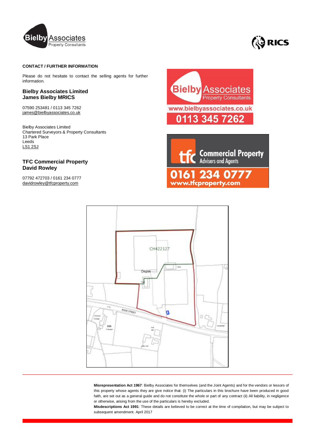



# **CONTACT / FURTHER INFORMATION**

Please do not hesitate to contact the selling agents for further information.

## **Bielby Associates Limited James Bielby MRICS**

07590 253481 / 0113 345 7262 [james@bielbyassociates.co.uk](mailto:james@bielbyassociates.co.uk)

Bielby Associates Limited Chartered Surveyors & Property Consultants 13 Park Place Leeds LS1 2SJ

# **TFC Commercial Property David Rowley**

07792 472703 / 0161 234 0777 [davidrowley@tfcproperty.com](mailto:davidrowley@tfcproperty.com)



CH422127 Ü Dervil AGOV STREET n

**Misrepresentation Act 1967**: Bielby Associates for themselves (and the Joint Agents) and for the vendors or lessors of this property whose agents they are give notice that: (i) The particulars in this brochure have been produced in good faith, are set out as a general guide and do not constitute the whole or part of any contract (ii) All liability, in negligence or otherwise, arising from the use of the particulars is hereby excluded.

**Misdescriptions Act 1991**: These details are believed to be correct at the time of compilation, but may be subject to subsequent amendment. April 2017